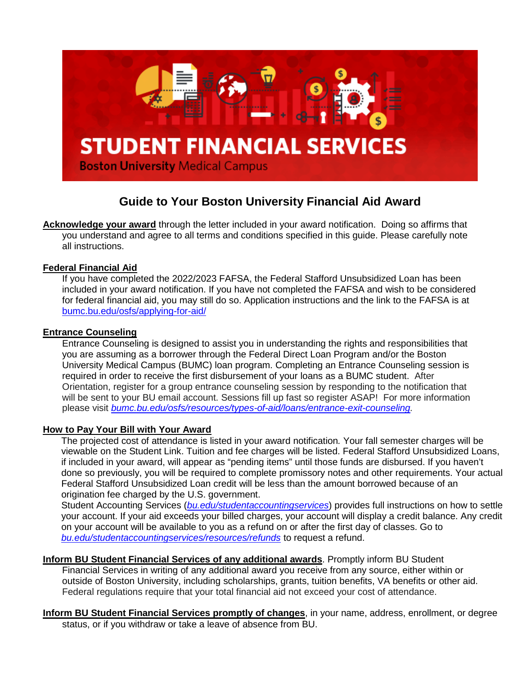

# **Guide to Your Boston University Financial Aid Award**

**Acknowledge your award** through the letter included in your award notification. Doing so affirms that you understand and agree to all terms and conditions specified in this guide. Please carefully note all instructions.

# **Federal Financial Aid**

If you have completed the 2022/2023 FAFSA, the Federal Stafford Unsubsidized Loan has been included in your award notification. If you have not completed the FAFSA and wish to be considered for federal financial aid, you may still do so. Application instructions and the link to the FAFSA is at [bumc.bu.edu/osfs/applying-for-aid/](http://www.bumc.bu.edu/osfs/applying-for-aid/)

### **Entrance Counseling**

Entrance Counseling is designed to assist you in understanding the rights and responsibilities that you are assuming as a borrower through the Federal Direct Loan Program and/or the Boston University Medical Campus (BUMC) loan program. Completing an Entrance Counseling session is required in order to receive the first disbursement of your loans as a BUMC student. After Orientation, register for a group entrance counseling session by responding to the notification that will be sent to your BU email account. Sessions fill up fast so register ASAP! For more information please visit *[bumc.bu.edu/osfs/resources/types-of-aid/loans/entrance-exit-counseling.](http://www.bumc.bu.edu/osfs/resources/types-of-aid/loans/entrance-exit-counseling)*

### **How to Pay Your Bill with Your Award**

The projected cost of attendance is listed in your award notification*.* Your fall semester charges will be viewable on the Student Link. Tuition and fee charges will be listed. Federal Stafford Unsubsidized Loans, if included in your award, will appear as "pending items" until those funds are disbursed. If you haven't done so previously, you will be required to complete promissory notes and other requirements. Your actual Federal Stafford Unsubsidized Loan credit will be less than the amount borrowed because of an origination fee charged by the U.S. government.

Student Accounting Services (*[bu.edu/studentaccountingservices](http://www.bu.edu/studentaccountingservices)*) provides full instructions on how to settle your account. If your aid exceeds your billed charges, your account will display a credit balance. Any credit on your account will be available to you as a refund on or after the first day of classes. Go to *[bu.edu/studentaccountingservices/resources/refunds](http://www.bu.edu/studentaccountingservices/resources/refunds)* to request a refund.

**Inform BU Student Financial Services of any additional awards**. Promptly inform BU Student Financial Services in writing of any additional award you receive from any source, either within or outside of Boston University, including scholarships, grants, tuition benefits, VA benefits or other aid. Federal regulations require that your total financial aid not exceed your cost of attendance.

**Inform BU Student Financial Services promptly of changes**, in your name, address, enrollment, or degree status, or if you withdraw or take a leave of absence from BU.